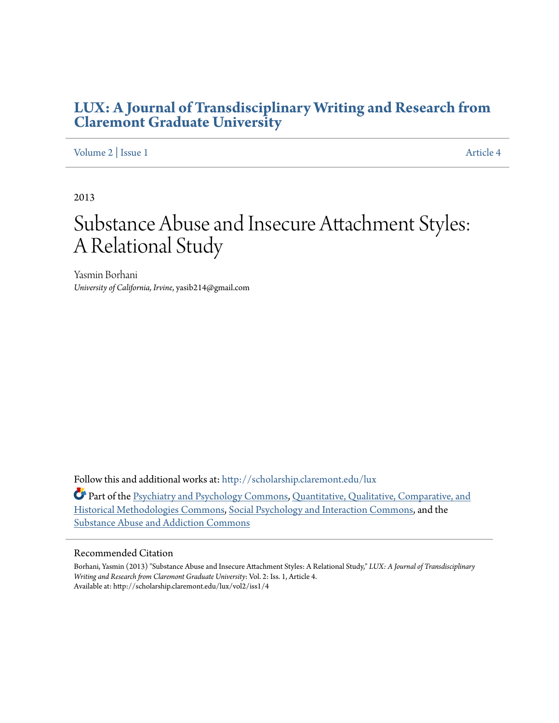# **[LUX: A Journal of Transdisciplinary Writing and Research from](http://scholarship.claremont.edu/lux?utm_source=scholarship.claremont.edu%2Flux%2Fvol2%2Fiss1%2F4&utm_medium=PDF&utm_campaign=PDFCoverPages) [Claremont Graduate University](http://scholarship.claremont.edu/lux?utm_source=scholarship.claremont.edu%2Flux%2Fvol2%2Fiss1%2F4&utm_medium=PDF&utm_campaign=PDFCoverPages)**

#### [Volume 2](http://scholarship.claremont.edu/lux/vol2?utm_source=scholarship.claremont.edu%2Flux%2Fvol2%2Fiss1%2F4&utm_medium=PDF&utm_campaign=PDFCoverPages) | [Issue 1](http://scholarship.claremont.edu/lux/vol2/iss1?utm_source=scholarship.claremont.edu%2Flux%2Fvol2%2Fiss1%2F4&utm_medium=PDF&utm_campaign=PDFCoverPages) [Article 4](http://scholarship.claremont.edu/lux/vol2/iss1/4?utm_source=scholarship.claremont.edu%2Flux%2Fvol2%2Fiss1%2F4&utm_medium=PDF&utm_campaign=PDFCoverPages)

2013

# Substance Abuse and Insecure Attachment Styles: A Relational Study

Yasmin Borhani *University of California, Irvine*, yasib214@gmail.com

Follow this and additional works at: [http://scholarship.claremont.edu/lux](http://scholarship.claremont.edu/lux?utm_source=scholarship.claremont.edu%2Flux%2Fvol2%2Fiss1%2F4&utm_medium=PDF&utm_campaign=PDFCoverPages)

Part of the [Psychiatry and Psychology Commons](http://network.bepress.com/hgg/discipline/908?utm_source=scholarship.claremont.edu%2Flux%2Fvol2%2Fiss1%2F4&utm_medium=PDF&utm_campaign=PDFCoverPages), [Quantitative, Qualitative, Comparative, and](http://network.bepress.com/hgg/discipline/423?utm_source=scholarship.claremont.edu%2Flux%2Fvol2%2Fiss1%2F4&utm_medium=PDF&utm_campaign=PDFCoverPages) [Historical Methodologies Commons](http://network.bepress.com/hgg/discipline/423?utm_source=scholarship.claremont.edu%2Flux%2Fvol2%2Fiss1%2F4&utm_medium=PDF&utm_campaign=PDFCoverPages), [Social Psychology and Interaction Commons,](http://network.bepress.com/hgg/discipline/430?utm_source=scholarship.claremont.edu%2Flux%2Fvol2%2Fiss1%2F4&utm_medium=PDF&utm_campaign=PDFCoverPages) and the [Substance Abuse and Addiction Commons](http://network.bepress.com/hgg/discipline/710?utm_source=scholarship.claremont.edu%2Flux%2Fvol2%2Fiss1%2F4&utm_medium=PDF&utm_campaign=PDFCoverPages)

#### Recommended Citation

Borhani, Yasmin (2013) "Substance Abuse and Insecure Attachment Styles: A Relational Study," *LUX: A Journal of Transdisciplinary Writing and Research from Claremont Graduate University*: Vol. 2: Iss. 1, Article 4. Available at: http://scholarship.claremont.edu/lux/vol2/iss1/4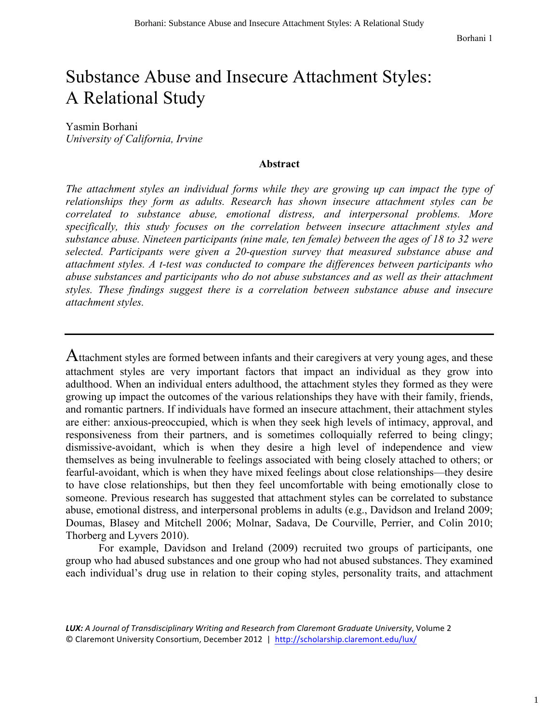Borhani 1

# Substance Abuse and Insecure Attachment Styles: A Relational Study

Yasmin Borhani *University of California, Irvine*

#### **Abstract**

*The attachment styles an individual forms while they are growing up can impact the type of relationships they form as adults. Research has shown insecure attachment styles can be correlated to substance abuse, emotional distress, and interpersonal problems. More specifically, this study focuses on the correlation between insecure attachment styles and substance abuse. Nineteen participants (nine male, ten female) between the ages of 18 to 32 were selected. Participants were given a 20-question survey that measured substance abuse and attachment styles. A t-test was conducted to compare the differences between participants who abuse substances and participants who do not abuse substances and as well as their attachment styles. These findings suggest there is a correlation between substance abuse and insecure attachment styles.* 

Attachment styles are formed between infants and their caregivers at very young ages, and these attachment styles are very important factors that impact an individual as they grow into adulthood. When an individual enters adulthood, the attachment styles they formed as they were growing up impact the outcomes of the various relationships they have with their family, friends, and romantic partners. If individuals have formed an insecure attachment, their attachment styles are either: anxious-preoccupied, which is when they seek high levels of intimacy, approval, and responsiveness from their partners, and is sometimes colloquially referred to being clingy; dismissive-avoidant, which is when they desire a high level of independence and view themselves as being invulnerable to feelings associated with being closely attached to others; or fearful-avoidant, which is when they have mixed feelings about close relationships—they desire to have close relationships, but then they feel uncomfortable with being emotionally close to someone. Previous research has suggested that attachment styles can be correlated to substance abuse, emotional distress, and interpersonal problems in adults (e.g., Davidson and Ireland 2009; Doumas, Blasey and Mitchell 2006; Molnar, Sadava, De Courville, Perrier, and Colin 2010; Thorberg and Lyvers 2010).

For example, Davidson and Ireland (2009) recruited two groups of participants, one group who had abused substances and one group who had not abused substances. They examined each individual's drug use in relation to their coping styles, personality traits, and attachment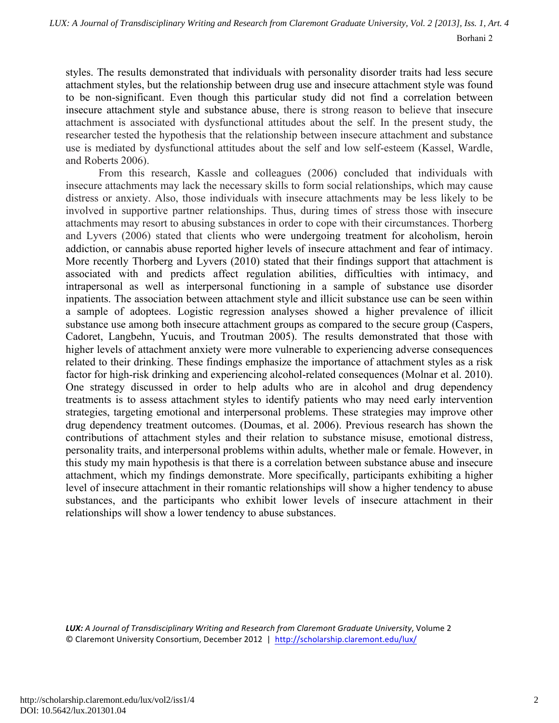styles. The results demonstrated that individuals with personality disorder traits had less secure attachment styles, but the relationship between drug use and insecure attachment style was found to be non-significant. Even though this particular study did not find a correlation between insecure attachment style and substance abuse, there is strong reason to believe that insecure attachment is associated with dysfunctional attitudes about the self. In the present study, the researcher tested the hypothesis that the relationship between insecure attachment and substance use is mediated by dysfunctional attitudes about the self and low self-esteem (Kassel, Wardle, and Roberts 2006).

From this research, Kassle and colleagues (2006) concluded that individuals with insecure attachments may lack the necessary skills to form social relationships, which may cause distress or anxiety. Also, those individuals with insecure attachments may be less likely to be involved in supportive partner relationships. Thus, during times of stress those with insecure attachments may resort to abusing substances in order to cope with their circumstances. Thorberg and Lyvers (2006) stated that clients who were undergoing treatment for alcoholism, heroin addiction, or cannabis abuse reported higher levels of insecure attachment and fear of intimacy. More recently Thorberg and Lyvers (2010) stated that their findings support that attachment is associated with and predicts affect regulation abilities, difficulties with intimacy, and intrapersonal as well as interpersonal functioning in a sample of substance use disorder inpatients. The association between attachment style and illicit substance use can be seen within a sample of adoptees. Logistic regression analyses showed a higher prevalence of illicit substance use among both insecure attachment groups as compared to the secure group (Caspers, Cadoret, Langbehn, Yucuis, and Troutman 2005). The results demonstrated that those with higher levels of attachment anxiety were more vulnerable to experiencing adverse consequences related to their drinking. These findings emphasize the importance of attachment styles as a risk factor for high-risk drinking and experiencing alcohol-related consequences (Molnar et al. 2010). One strategy discussed in order to help adults who are in alcohol and drug dependency treatments is to assess attachment styles to identify patients who may need early intervention strategies, targeting emotional and interpersonal problems. These strategies may improve other drug dependency treatment outcomes. (Doumas, et al. 2006). Previous research has shown the contributions of attachment styles and their relation to substance misuse, emotional distress, personality traits, and interpersonal problems within adults, whether male or female. However, in this study my main hypothesis is that there is a correlation between substance abuse and insecure attachment, which my findings demonstrate. More specifically, participants exhibiting a higher level of insecure attachment in their romantic relationships will show a higher tendency to abuse substances, and the participants who exhibit lower levels of insecure attachment in their relationships will show a lower tendency to abuse substances.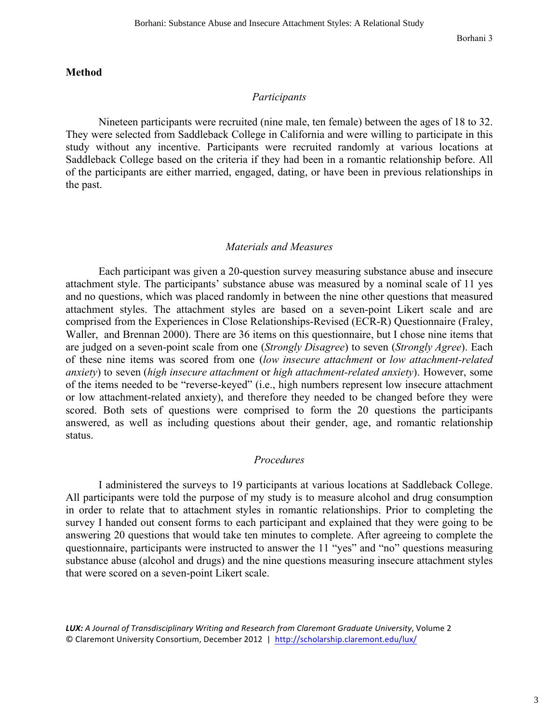#### **Method**

#### *Participants*

Nineteen participants were recruited (nine male, ten female) between the ages of 18 to 32. They were selected from Saddleback College in California and were willing to participate in this study without any incentive. Participants were recruited randomly at various locations at Saddleback College based on the criteria if they had been in a romantic relationship before. All of the participants are either married, engaged, dating, or have been in previous relationships in the past.

#### *Materials and Measures*

Each participant was given a 20-question survey measuring substance abuse and insecure attachment style. The participants' substance abuse was measured by a nominal scale of 11 yes and no questions, which was placed randomly in between the nine other questions that measured attachment styles. The attachment styles are based on a seven-point Likert scale and are comprised from the Experiences in Close Relationships-Revised (ECR-R) Questionnaire (Fraley, Waller, and Brennan 2000). There are 36 items on this questionnaire, but I chose nine items that are judged on a seven-point scale from one (*Strongly Disagree*) to seven (*Strongly Agree*). Each of these nine items was scored from one (*low insecure attachment* or *low attachment-related anxiety*) to seven (*high insecure attachment* or *high attachment-related anxiety*). However, some of the items needed to be "reverse-keyed" (i.e., high numbers represent low insecure attachment or low attachment-related anxiety), and therefore they needed to be changed before they were scored. Both sets of questions were comprised to form the 20 questions the participants answered, as well as including questions about their gender, age, and romantic relationship status.

#### *Procedures*

I administered the surveys to 19 participants at various locations at Saddleback College. All participants were told the purpose of my study is to measure alcohol and drug consumption in order to relate that to attachment styles in romantic relationships. Prior to completing the survey I handed out consent forms to each participant and explained that they were going to be answering 20 questions that would take ten minutes to complete. After agreeing to complete the questionnaire, participants were instructed to answer the 11 "yes" and "no" questions measuring substance abuse (alcohol and drugs) and the nine questions measuring insecure attachment styles that were scored on a seven-point Likert scale.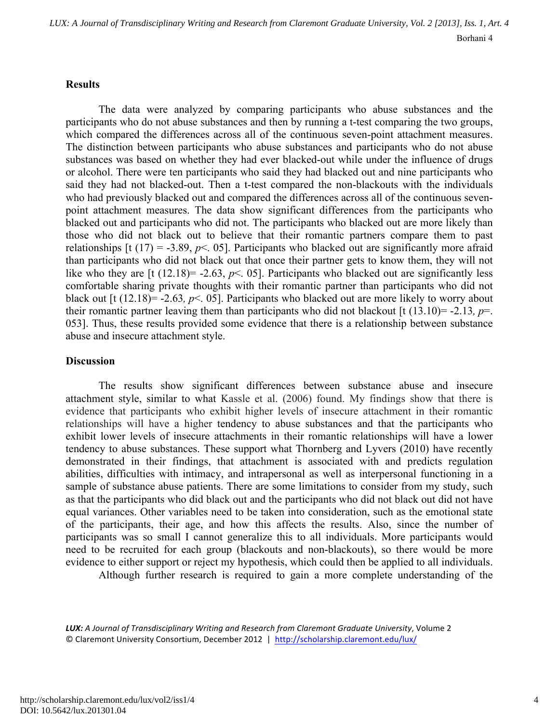#### **Results**

The data were analyzed by comparing participants who abuse substances and the participants who do not abuse substances and then by running a t-test comparing the two groups, which compared the differences across all of the continuous seven-point attachment measures. The distinction between participants who abuse substances and participants who do not abuse substances was based on whether they had ever blacked-out while under the influence of drugs or alcohol. There were ten participants who said they had blacked out and nine participants who said they had not blacked-out. Then a t-test compared the non-blackouts with the individuals who had previously blacked out and compared the differences across all of the continuous sevenpoint attachment measures. The data show significant differences from the participants who blacked out and participants who did not. The participants who blacked out are more likely than those who did not black out to believe that their romantic partners compare them to past relationships  $[t(17) = -3.89, p < 05]$ . Participants who blacked out are significantly more afraid than participants who did not black out that once their partner gets to know them, they will not like who they are [t  $(12.18)$ = -2.63,  $p$  < 05]. Participants who blacked out are significantly less comfortable sharing private thoughts with their romantic partner than participants who did not black out [t (12.18)= -2.63*, p*<. 05]. Participants who blacked out are more likely to worry about their romantic partner leaving them than participants who did not blackout  $[t (13.10)= -2.13, p=$ . 053]. Thus, these results provided some evidence that there is a relationship between substance abuse and insecure attachment style.

#### **Discussion**

The results show significant differences between substance abuse and insecure attachment style, similar to what Kassle et al. (2006) found. My findings show that there is evidence that participants who exhibit higher levels of insecure attachment in their romantic relationships will have a higher tendency to abuse substances and that the participants who exhibit lower levels of insecure attachments in their romantic relationships will have a lower tendency to abuse substances. These support what Thornberg and Lyvers (2010) have recently demonstrated in their findings, that attachment is associated with and predicts regulation abilities, difficulties with intimacy, and intrapersonal as well as interpersonal functioning in a sample of substance abuse patients. There are some limitations to consider from my study, such as that the participants who did black out and the participants who did not black out did not have equal variances. Other variables need to be taken into consideration, such as the emotional state of the participants, their age, and how this affects the results. Also, since the number of participants was so small I cannot generalize this to all individuals. More participants would need to be recruited for each group (blackouts and non-blackouts), so there would be more evidence to either support or reject my hypothesis, which could then be applied to all individuals.

Although further research is required to gain a more complete understanding of the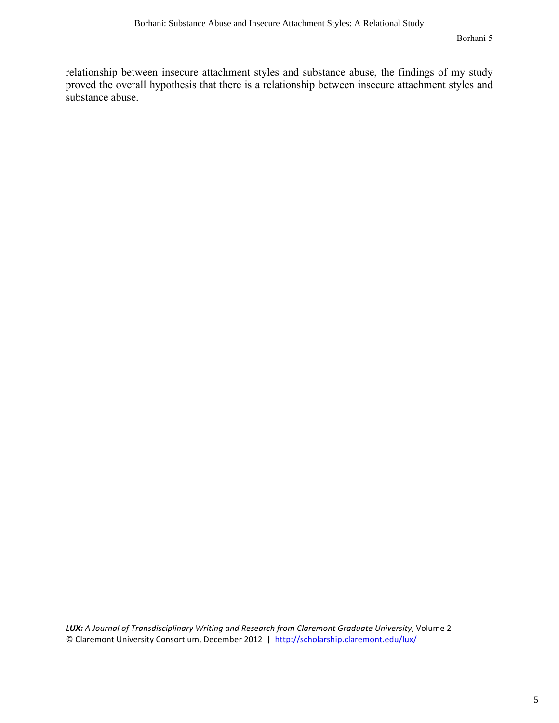relationship between insecure attachment styles and substance abuse, the findings of my study proved the overall hypothesis that there is a relationship between insecure attachment styles and substance abuse.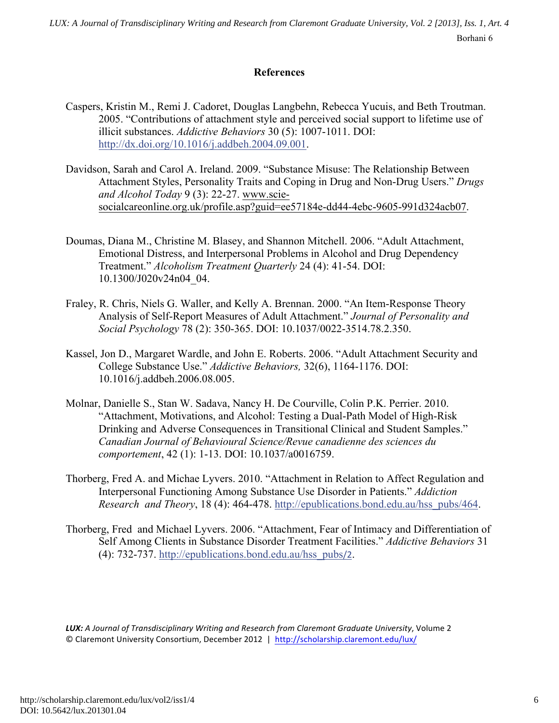Borhani 6 *LUX: A Journal of Transdisciplinary Writing and Research from Claremont Graduate University, Vol. 2 [2013], Iss. 1, Art. 4*

### **References**

- Caspers, Kristin M., Remi J. Cadoret, Douglas Langbehn, Rebecca Yucuis, and Beth Troutman. 2005. "Contributions of attachment style and perceived social support to lifetime use of illicit substances. *Addictive Behaviors* 30 (5): 1007-1011. DOI: http://dx.doi.org/10.1016/j.addbeh.2004.09.001.
- Davidson, Sarah and Carol A. Ireland. 2009. "Substance Misuse: The Relationship Between Attachment Styles, Personality Traits and Coping in Drug and Non-Drug Users." *Drugs and Alcohol Today* 9 (3): 22-27. www.sciesocialcareonline.org.uk/profile.asp?guid=ee57184e-dd44-4ebc-9605-991d324acb07.
- Doumas, Diana M., Christine M. Blasey, and Shannon Mitchell. 2006. "Adult Attachment, Emotional Distress, and Interpersonal Problems in Alcohol and Drug Dependency Treatment." *Alcoholism Treatment Quarterly* 24 (4): 41-54. DOI: 10.1300/J020v24n04\_04.
- Fraley, R. Chris, Niels G. Waller, and Kelly A. Brennan. 2000. "An Item-Response Theory Analysis of Self-Report Measures of Adult Attachment." *Journal of Personality and Social Psychology* 78 (2): 350-365. DOI: 10.1037/0022-3514.78.2.350.
- Kassel, Jon D., Margaret Wardle, and John E. Roberts. 2006. "Adult Attachment Security and College Substance Use." *Addictive Behaviors,* 32(6), 1164-1176. DOI: 10.1016/j.addbeh.2006.08.005.
- Molnar, Danielle S., Stan W. Sadava, Nancy H. De Courville, Colin P.K. Perrier. 2010. "Attachment, Motivations, and Alcohol: Testing a Dual-Path Model of High-Risk Drinking and Adverse Consequences in Transitional Clinical and Student Samples." *Canadian Journal of Behavioural Science/Revue canadienne des sciences du comportement*, 42 (1): 1-13. DOI: 10.1037/a0016759.
- Thorberg, Fred A. and Michae Lyvers. 2010. "Attachment in Relation to Affect Regulation and Interpersonal Functioning Among Substance Use Disorder in Patients." *Addiction Research and Theory*, 18 (4): 464-478. http://epublications.bond.edu.au/hss\_pubs/464.
- Thorberg, Fred and Michael Lyvers. 2006. "Attachment, Fear of Intimacy and Differentiation of Self Among Clients in Substance Disorder Treatment Facilities." *Addictive Behaviors* 31 (4): 732-737. http://epublications.bond.edu.au/hss\_pubs/2.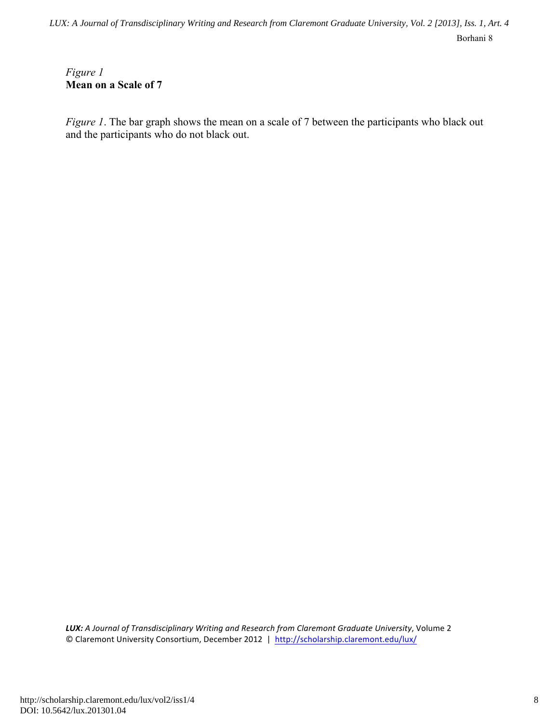Borhani 8 *LUX: A Journal of Transdisciplinary Writing and Research from Claremont Graduate University, Vol. 2 [2013], Iss. 1, Art. 4*

## *Figure 1* **Mean on a Scale of 7**

*Figure 1*. The bar graph shows the mean on a scale of 7 between the participants who black out and the participants who do not black out.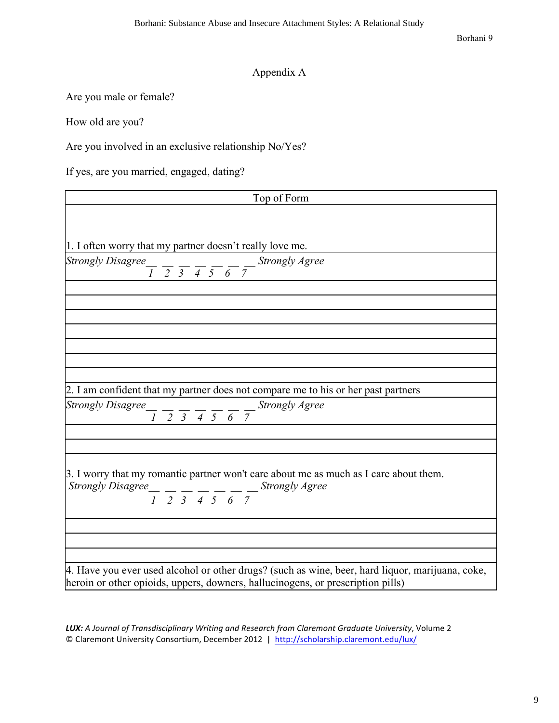Borhani 9

# Appendix A

Are you male or female?

How old are you?

Are you involved in an exclusive relationship No/Yes?

If yes, are you married, engaged, dating?

| Top of Form                                                                                                                        |
|------------------------------------------------------------------------------------------------------------------------------------|
|                                                                                                                                    |
|                                                                                                                                    |
| 1. I often worry that my partner doesn't really love me.                                                                           |
| Strongly Disagree $\frac{1}{1}$ $\frac{1}{2}$ $\frac{1}{3}$ $\frac{1}{4}$ $\frac{1}{5}$ $\frac{1}{6}$ $\frac{1}{7}$ Strongly Agree |
|                                                                                                                                    |
|                                                                                                                                    |
|                                                                                                                                    |
|                                                                                                                                    |
|                                                                                                                                    |
|                                                                                                                                    |
|                                                                                                                                    |
| 2. I am confident that my partner does not compare me to his or her past partners                                                  |
| Strongly Disagree $\frac{1}{1}$ $\frac{1}{2}$ $\frac{1}{3}$ $\frac{1}{4}$ $\frac{1}{5}$ $\frac{1}{6}$ $\frac{1}{7}$ Strongly Agree |
|                                                                                                                                    |
|                                                                                                                                    |
|                                                                                                                                    |
| 3. I worry that my romantic partner won't care about me as much as I care about them.                                              |
| Strongly Disagree $\frac{1}{1}$ $\frac{1}{2}$ $\frac{1}{3}$ $\frac{1}{4}$ $\frac{1}{5}$ $\frac{1}{6}$ $\frac{1}{7}$ Strongly Agree |
|                                                                                                                                    |
|                                                                                                                                    |
|                                                                                                                                    |
|                                                                                                                                    |
| 4. Have you ever used alcohol or other drugs? (such as wine, beer, hard liquor, marijuana, coke,                                   |
| heroin or other opioids, uppers, downers, hallucinogens, or prescription pills)                                                    |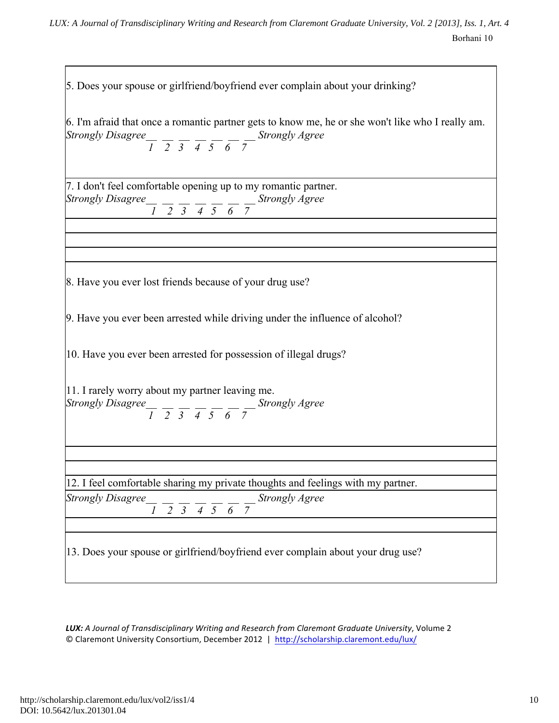| 5. Does your spouse or girlfriend/boyfriend ever complain about your drinking?                                                                                                                                                                                                                                                                                                                                   |
|------------------------------------------------------------------------------------------------------------------------------------------------------------------------------------------------------------------------------------------------------------------------------------------------------------------------------------------------------------------------------------------------------------------|
| 6. I'm afraid that once a romantic partner gets to know me, he or she won't like who I really am.<br>Strongly Disagree $\frac{1}{1}$ $\frac{1}{2}$ $\frac{1}{3}$ $\frac{1}{4}$ $\frac{1}{5}$ $\frac{1}{6}$ $\frac{1}{7}$ Strongly Agree                                                                                                                                                                          |
|                                                                                                                                                                                                                                                                                                                                                                                                                  |
| 7. I don't feel comfortable opening up to my romantic partner.<br>Strongly Disagree $\frac{1}{1}$ $\frac{1}{2}$ $\frac{1}{3}$ $\frac{1}{4}$ $\frac{1}{5}$ $\frac{1}{6}$ $\frac{1}{7}$ Strongly Agree                                                                                                                                                                                                             |
|                                                                                                                                                                                                                                                                                                                                                                                                                  |
|                                                                                                                                                                                                                                                                                                                                                                                                                  |
|                                                                                                                                                                                                                                                                                                                                                                                                                  |
| 8. Have you ever lost friends because of your drug use?                                                                                                                                                                                                                                                                                                                                                          |
| 9. Have you ever been arrested while driving under the influence of alcohol?                                                                                                                                                                                                                                                                                                                                     |
| 10. Have you ever been arrested for possession of illegal drugs?                                                                                                                                                                                                                                                                                                                                                 |
| 11. I rarely worry about my partner leaving me.<br>Strongly Disagree $\frac{1}{\sqrt{2}}$ $\frac{1}{\sqrt{2}}$ $\frac{1}{\sqrt{2}}$ $\frac{1}{\sqrt{2}}$ $\frac{1}{\sqrt{2}}$ $\frac{1}{\sqrt{2}}$ $\frac{1}{\sqrt{2}}$ $\frac{1}{\sqrt{2}}$ $\frac{1}{\sqrt{2}}$ $\frac{1}{\sqrt{2}}$ $\frac{1}{\sqrt{2}}$ $\frac{1}{\sqrt{2}}$ $\frac{1}{\sqrt{2}}$ $\frac{1}{\sqrt{2}}$ $\frac{1}{\sqrt{2}}$ $\frac{1}{\sqrt$ |
|                                                                                                                                                                                                                                                                                                                                                                                                                  |
|                                                                                                                                                                                                                                                                                                                                                                                                                  |
| 12. I feel comfortable sharing my private thoughts and feelings with my partner.                                                                                                                                                                                                                                                                                                                                 |
| <b>Strongly Disagree</b><br>$\frac{1}{1}$ $\frac{1}{2}$ $\frac{1}{3}$ $\frac{1}{4}$ $\frac{1}{5}$ $\frac{1}{6}$ $\frac{1}{7}$ Strongly Agree                                                                                                                                                                                                                                                                     |
|                                                                                                                                                                                                                                                                                                                                                                                                                  |
| 13. Does your spouse or girlfriend/boyfriend ever complain about your drug use?                                                                                                                                                                                                                                                                                                                                  |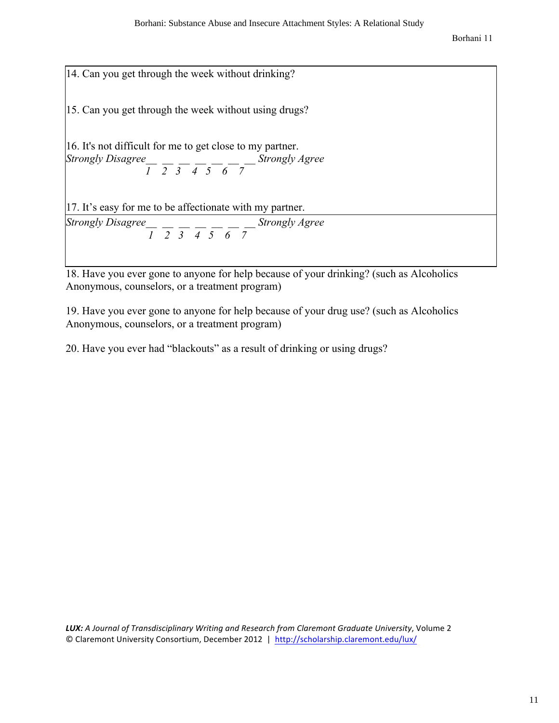\n- 14. Can you get through the week without drinking?
\n- 15. Can you get through the week without using drugs?
\n- 16. It's not difficult for me to get close to my partner. *Strongly Disagree* 
$$
\frac{1}{1} \cdot \frac{1}{2} \cdot \frac{1}{3} \cdot \frac{1}{4} \cdot \frac{1}{5} \cdot \frac{1}{6} \cdot \frac{1}{7}
$$
 *Strongly Agee*
\n- 17. It's easy for me to be affect to the right, we get  $\frac{1}{1} \cdot \frac{1}{2} \cdot \frac{1}{3} \cdot \frac{1}{4} \cdot \frac{1}{5} \cdot \frac{1}{6} \cdot \frac{1}{7}$  *Strongly Agee*
\n

18. Have you ever gone to anyone for help because of your drinking? (such as Alcoholics Anonymous, counselors, or a treatment program)

19. Have you ever gone to anyone for help because of your drug use? (such as Alcoholics Anonymous, counselors, or a treatment program)

20. Have you ever had "blackouts" as a result of drinking or using drugs?